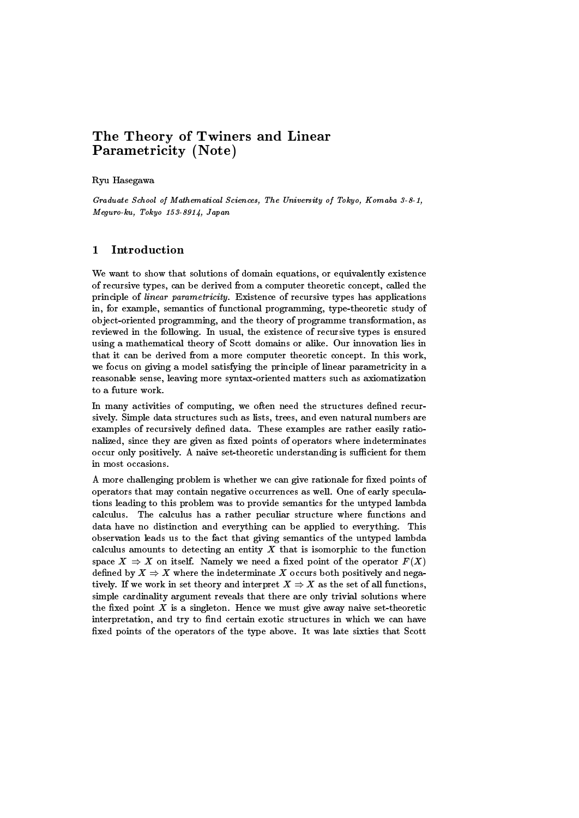# The Theory of Twiners and Linear Parametricity (Note)

### Ryu Hasegawa

Graduate School of Mathematical Sciences, The University of Tokyo, Komaba 3-8-1, Meguro-ku, Tokyo 153-8914, Japan

We want to show that solutions of domain equations, or equivalently existence of recursive types, can be derived from a computer theoretic concept, called the principle of linear parametricity. Existence of recursive types has applications in, for example, semantics of functional programming, type-theoretic study of ob ject-oriented programming, and the theory of programme transformation, as reviewed in the following. In usual, the existence of recursive types is ensured using a mathematical theory of Scott domains or alike. Our innovation lies in that it can be derived from a more computer theoretic concept. In this work, we focus on giving a model satisfying the principle of linear parametricity in a reasonable sense, leaving more syntax-oriented matters such as axiomatization to a future work.

In many activities of computing, we often need the structures defined recursively. Simple data structures such as lists, trees, and even natural numbers are examples of recursively defined data. These examples are rather easily rationalized, since they are given as fixed points of operators where indeterminates occur only positively. A naive set-theoretic understanding is sufficient for them in most occasions.

A more challenging problem is whether we can give rationale for fixed points of operators that may contain negative occurrences as well. One of early speculations leading to this problem was to provide semantics for the untyped lambda calculus. The calculus has a rather peculiar structure where functions and data have no distinction and everything can be applied to everything. This observation leads us to the fact that giving semantics of the untyped lambda calculus amounts to detecting an entity  $X$  that is isomorphic to the function space  $X \Rightarrow X$  on itself. Namely we need a fixed point of the operator  $F(X)$ defined by  $X \Rightarrow X$  where the indeterminate X occurs both positively and negatively. If we work in set theory and interpret  $X \Rightarrow X$  as the set of all functions, simple cardinality argument reveals that there are only trivial solutions where the fixed point  $X$  is a singleton. Hence we must give away naive set-theoretic interpretation, and try to find certain exotic structures in which we can have fixed points of the operators of the type above. It was late sixties that Scott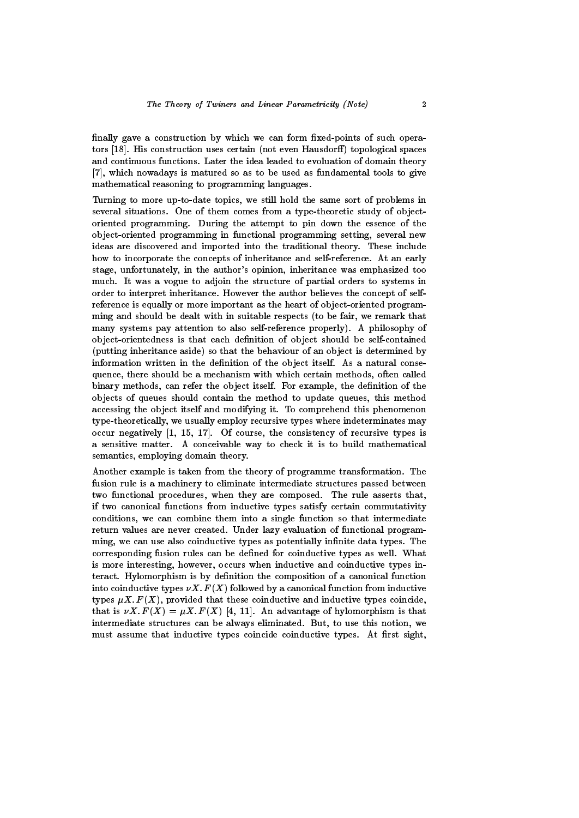finally gave a construction by which we can form fixed-points of such operators  $[18]$ . His construction uses certain (not even Hausdorff) topological spaces and continuous functions. Later the idea leaded to evoluation of domain theory [7], which nowadays is matured so as to be used as fundamental tools to give mathematical reasoning to programming languages.

Turning to more up-to-date topics, we still hold the same sort of problems in several situations. One of them comes from a type-theoretic study of objectoriented programming. During the attempt to pin down the essence of the ob ject-oriented programming in functional programming setting, several new ideas are discovered and imported into the traditional theory. These include how to incorporate the concepts of inheritance and self-reference. At an early stage, unfortunately, in the author's opinion, inheritance was emphasized too much. It was a vogue to adjoin the structure of partial orders to systems in order to interpret inheritance. However the author believes the concept of selfreference is equally or more important as the heart of ob ject-oriented programming and should be dealt with in suitable respects (to be fair, we remark that many systems pay attention to also self-reference properly). A philosophy of object-orientedness is that each definition of object should be self-contained (putting inheritance aside) so that the behaviour of an object is determined by information written in the definition of the object itself. As a natural consequence, there should be a mechanism with which certain methods, often called binary methods, can refer the object itself. For example, the definition of the ob jects of queues should contain the method to update queues, this method accessing the object itself and modifying it. To comprehend this phenomenon type-theoretically, we usually employ recursive types where indeterminates may occur negatively  $\begin{bmatrix} 1, 15, 17 \end{bmatrix}$ . Of course, the consistency of recursive types is a sensitive matter. A conceivable way to check it is to build mathematical semantics, employing domain theory.

Another example is taken from the theory of programme transformation. The fusion rule is a machinery to eliminate intermediate structures passed between two functional procedures, when they are composed. The rule asserts that, if two canonical functions from inductive types satisfy certain commutativity conditions, we can combine them into a single function so that intermediate return values are never created. Under lazy evaluation of functional programming, we can use also coinductive types as potentially infinite data types. The corresponding fusion rules can be defined for coinductive types as well. What is more interesting, however, occurs when inductive and coinductive types interact. Hylomorphism is by definition the composition of a canonical function into coinductive types  $\nu X. F(X)$  followed by a canonical function from inductive types  $\mu X. F(X)$ , provided that these coinductive and inductive types coincide, that is  $\nu X. F(X) = \mu X. F(X)$  [4, 11]. An advantage of hylomorphism is that intermediate structures can be always eliminated. But, to use this notion, we must assume that inductive types coincide coinductive types. At first sight,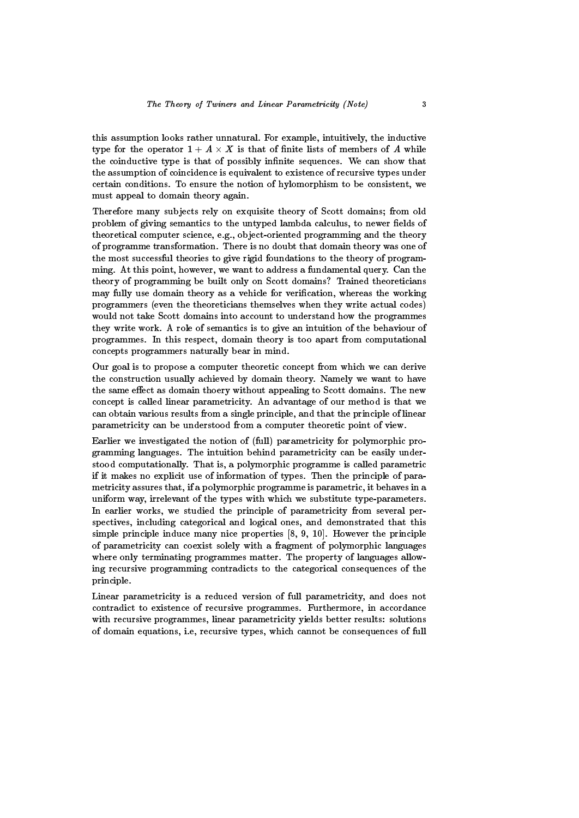this assumption looks rather unnatural. For example, intuitively, the inductive type for the operator  $1 + A \times A$  is that of finite lists of members of A while the coinductive type is that of possibly infinite sequences. We can show that the assumption of coincidence is equivalent to existence of recursive types under certain conditions. To ensure the notion of hylomorphism to be consistent, we must appeal to domain theory again.

Therefore many subjects rely on exquisite theory of Scott domains; from old problem of giving semantics to the untyped lambda calculus, to newer fields of theoretical computer science, e.g., ob ject-oriented programming and the theory of programme transformation. There is no doubt that domain theory was one of the most successful theories to give rigid foundations to the theory of programming. At this point, however, we want to address a fundamental query. Can the theory of programming be built only on Scott domains? Trained theoreticians may fully use domain theory as a vehicle for verification, whereas the working programmers (even the theoreticians themselves when they write actual codes) would not take Scott domains into account to understand how the programmes they write work. A role of semantics is to give an intuition of the behaviour of programmes. In this respect, domain theory is too apart from computational concepts programmers naturally bear in mind.

Our goal is to propose a computer theoretic concept from which we can derive the construction usually achieved by domain theory. Namely we want to have the same effect as domain thoery without appealing to Scott domains. The new concept is called linear parametricity. An advantage of our method is that we can obtain various results from a single principle, and that the principle of linear parametricity can be understood from a computer theoretic point of view.

Earlier we investigated the notion of (full) parametricity for polymorphic programming languages. The intuition behind parametricity can be easily understood computationally. That is, a polymorphic programme is called parametric if it makes no explicit use of information of types. Then the principle of parametricity assures that, if a polymorphic programme is parametric, it behaves in a uniform way, irrelevant of the types with which we substitute type-parameters. In earlier works, we studied the principle of parametricity from several perspectives, including categorical and logical ones, and demonstrated that this simple principle induce many nice properties [8, 9, 10]. However the principle of parametricity can coexist solely with a fragment of polymorphic languages where only terminating programmes matter. The property of languages allowing recursive programming contradicts to the categorical consequences of the principle.

Linear parametricity is a reduced version of full parametricity, and does not contradict to existence of recursive programmes. Furthermore, in accordance with recursive programmes, linear parametricity yields better results: solutions of domain equations, i.e, recursive types, which cannot be consequences of full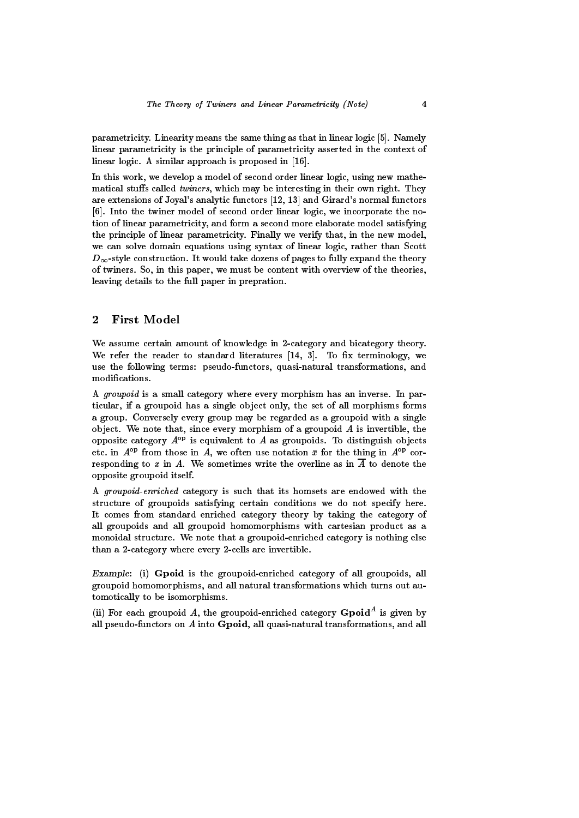parametricity. Linearity means the same thing as that in linear logic [5]. Namely linear parametricity is the principle of parametricity asserted in the context of linear logic. A similar approach is proposed in [16].

In this work, we develop a model of second order linear logic, using new mathematical stuffs called twiners, which may be interesting in their own right. They are extensions of Joyal's analytic functors [12, 13] and Girard's normal functors [6]. Into the twiner model of second order linear logic, we incorporate the notion of linear parametricity, and form a second more elaborate model satisfying the principle of linear parametricity. Finally we verify that, in the new model, we can solve domain equations using syntax of linear logic, rather than Scott  $D_{\infty}$ -style construction. It would take dozens of pages to fully expand the theory of twiners. So, in this paper, we must be content with overview of the theories, leaving details to the full paper in prepration.

## <sup>2</sup> First Model

We assume certain amount of knowledge in 2-category and bicategory theory. We refer the reader to standard literatures  $[14, 3]$ . To fix terminology, we use the following terms: pseudo-functors, quasi-natural transformations, and modifications.

A groupoid is a small category where every morphism has an inverse. In particular, if a groupoid has a single object only, the set of all morphisms forms a group. Conversely every group may be regarded as a groupoid with a single object. We note that, since every morphism of a groupoid  $A$  is invertible, the opposite category  $A^{op}$  is equivalent to  $A$  as groupoids. To distinguish objects etc. in  $A^{\text{op}}$  from those in A, we often use notation  $\bar{x}$  for the thing in  $A^{\text{op}}$  corresponding to x in A. We sometimes write the overline as in  $\overline{A}$  to denote the opposite groupoid itself.

A groupoid-enriched category is such that its homsets are endowed with the structure of groupoids satisfying certain conditions we do not specify here. It comes from standard enriched category theory by taking the category of all groupoids and all groupoid homomorphisms with cartesian product as a monoidal structure. We note that a groupoid-enriched category is nothing else than a 2-category where every 2-cells are invertible.

Example: (i) Gpoid is the groupoid-enriched category of all groupoids, all groupoid homomorphisms, and all natural transformations which turns out automotically to be isomorphisms.

(ii) For each groupoid A, the groupoid-enriched category  $G$  poid<sup>--</sup> is given by all pseudo-functors on A into Gpoid, all quasi-natural transformations, and all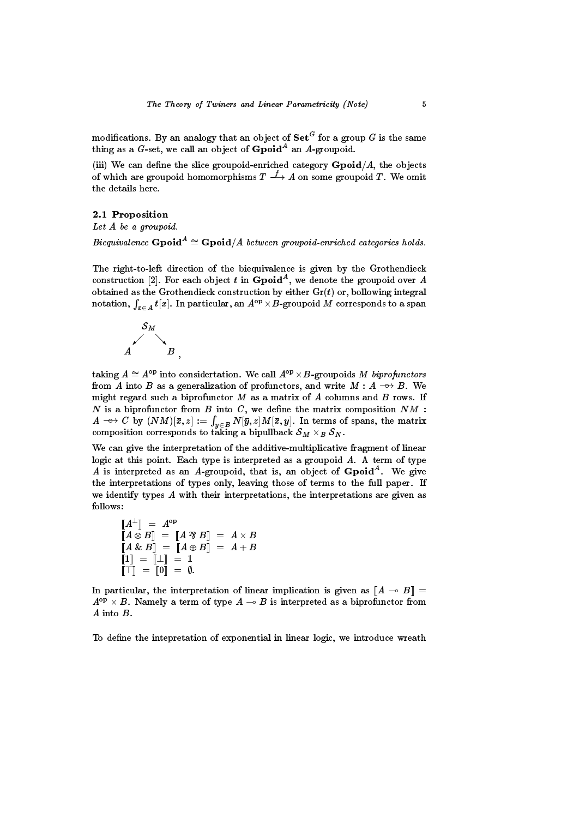modifications. By an analogy that an object of  ${\bf Set}^-$  for a group  $G$  is the same thing as a  $G\text{-set}$ , we call an object of  ${\bf Gpol}^A$  an  $A\text{-groupoid.}$ 

(iii) We can define the slice groupoid-enriched category  $\bf{Gpoid}/A$ , the objects of which are groupoid homomorphisms  $T\longrightarrow A$  on some groupoid T. We omit

### 2.1 Proposition

 $\boldsymbol{\mu}$ et A be a groupoid.

Biequivalence  $\bf{Gpol}^{\sim} \cong \bf{Gpol}$  A between groupoid-enriched categories holds.

The right-to-left direction of the biequivalence is given by the Grothendieck construction  $|2|$ . For each object t in Gpoid , we denote the groupoid over  $A$ obtained as the Grothendieck construction by either  $Gr(t)$  or, bollowing integral notation,  $\int_{x\in A} t[x]$ . In particular, an  $A^{\rm op}\times B$ -groupoid  $M$  corresponds to a span



taking  $A \cong A^{\mathrm{op}}$  into considertation. We call  $A^{\mathrm{op}} \times B$ -groupoids  $M$  biprofunctors from A into B as a generalization of profunctors, and write  $M : A \rightarrow B$ . We might regard such a biprofunctor  $M$  as a matrix of  $A$  columns and  $B$  rows. If  $N$  is a biprofunctor from  $B$  into  $C$ , we define the matrix composition  $NM$  :  $A \dashrightarrow C$  by  $(NM)[\bar{x},z] := \int_{y \in B} N[\bar{y},z] M[\bar{x},y].$  In terms of spans, the matrix composition corresponds to taking a bipuliback  $\mathcal{O}_M \times_B \mathcal{O}_N$ .

We can give the interpretation of the additive-multiplicative fragment of linear logic at this point. Each type is interpreted as a groupoid  $A$ . A term of type A is interpreted as an A-groupoid, that is, an object of  $G$ poid. We give the interpretations of types only, leaving those of terms to the full paper. If we identify types A with their interpretations, the interpretations are given as follows:

 $\llbracket A^\perp \rrbracket = A^{\rm op}$  $\blacksquare$  and  $\blacksquare$  $\begin{array}{ccccccc} \Vert A\otimes B\Vert&=&\Vert A\;\Im\; B\Vert&=&A\times B\end{array}$  $\parallel A \propto B \parallel$  =  $\parallel A \oplus B \parallel$  =  $A + B$  $\|1\|$  =  $\|1\|$  = 1  $\|$ [[>]] = [[0]] = ;:

and the contract of the contract of the contract of the contract of the contract of

In particular, the interpretation of linear implication is given as  $[[A - B]] =$  $A \cdot F \times D$ . Ivamely a term of type  $A \multimap D$  is interpreted as a biprofunctor from  $A$  into  $B$ .<br>To define the intepretation of exponential in linear logic, we introduce wreath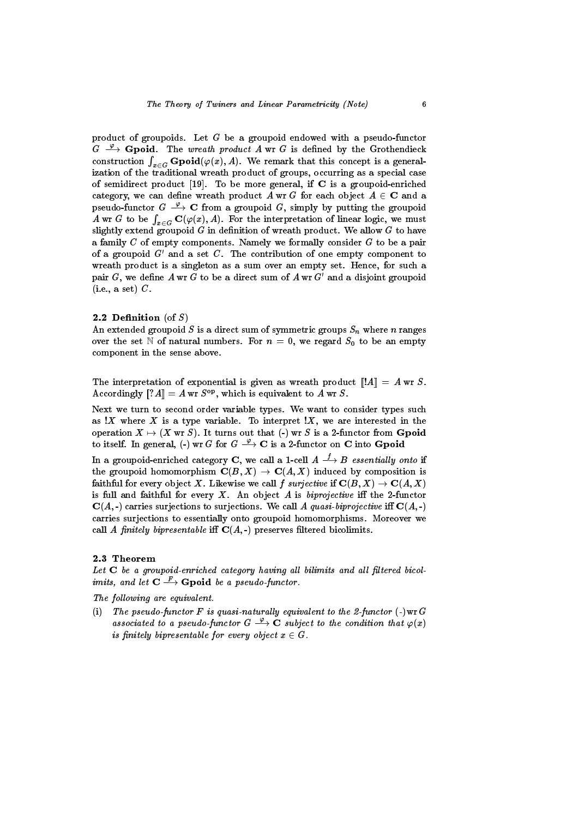product of groupoids. Let G be a groupoid endowed with a pseudo-functor  $G \stackrel{\varphi}{\longrightarrow} G$  poid. The wreath product A wr G is defined by the Grothendieck construction  $\int_{x\in G}\mathbf{Gpold}(\varphi(x),A).$  We remark that this concept is a generalization of the traditional wreath product of groups, occurring as a special case of semidirect product  $[19]$ . To be more general, if C is a groupoid-enriched category, we can define wreath product A wr G for each object  $A \in \mathbb{C}$  and a pseudo-functor  $G \stackrel{\varphi}{\longrightarrow} \mathbf{C}$  from a groupoid  $G$ , simply by putting the groupoid A wr G to be  $\int_{x \in G} \mathbf{C}(\varphi(x), A)$ . For the interpretation of linear logic, we must slightly extend groupoid  $G$  in definition of wreath product. We allow  $G$  to have a family  $C$  of empty components. Namely we formally consider  $G$  to be a pair of a groupoid  $G'$  and a set  $C$ . The contribution of one empty component to wreath product is a singleton as a sum over an empty set. Hence, for such a pair  $G$ , we define  $A$  wr  $G$  to be a direct sum of  $A$  wr  $G'$  and a disjoint groupoid  $(i.e., a set) C.$ 

### 2.2 Definition (of  $S$ )

An extended groupoid S is a direct sum of symmetric groups  $S_n$  where n ranges over the set N of natural numbers. For  $n = 0$ , we regard  $S_0$  to be an empty component in the sense above.

The interpretation of exponential is given as wreath product  $||A|| = A$  wr S. Accordingly  $||?A|| = A$  wr  $S^{op}$ , which is equivalent to A wr S.

Next we turn to second order variable types. We want to consider types such as  $X$  where X is a type variable. To interpret  $X$ , we are interested in the operation  $X \mapsto (X \text{ wr } S)$ . It turns out that (-) wr S is a 2-functor from Gpoid to itself. In general, (-) wr G for  $G \stackrel{\varphi}{\longrightarrow} \mathbf{C}$  is a 2-functor on  $\mathbf C$  into Gpoid

In a groupoid-enriched category C, we call a 1-cell  $A \stackrel{f}{\longrightarrow} B$  essentially onto if the groupoid homomorphism  $\mathbf{C}(B,X) \to \mathbf{C}(A,X)$  induced by composition is faithful for every object X. Likewise we call  $f$  surjective if  $\mathbf{C}(B,X) \to \mathbf{C}(A,X)$ is full and faithful for every  $X$ . An object  $A$  is biprojective iff the 2-functor  $\mathbf{C}(A, \cdot)$  carries surjections to surjections. We call A quasi-biprojective iff  $\mathbf{C}(A, \cdot)$ carries surjections to essentially onto groupoid homomorphisms. Moreover we call A finitely bipresentable iff  $C(A, -)$  preserves filtered bicolimits.

### 2.3 Theorem

Let  $C$  be a groupoid-enriched category having all bilimits and all filtered bicolimits, and let  $C \longrightarrow G$  boid be a pseudo-functor.

The following are equivalent.

(i) The pseudo-functor  $F$  is quasi-naturally equivalent to the 2-functor  $(\text{-})$  $wr\ G$ associated to a pseudo-functor  $G \stackrel{\varphi}{\longrightarrow} \mathbf{C}$  subject to the condition that  $\varphi(x)$ is nintery order table for every object  $x \in G$ .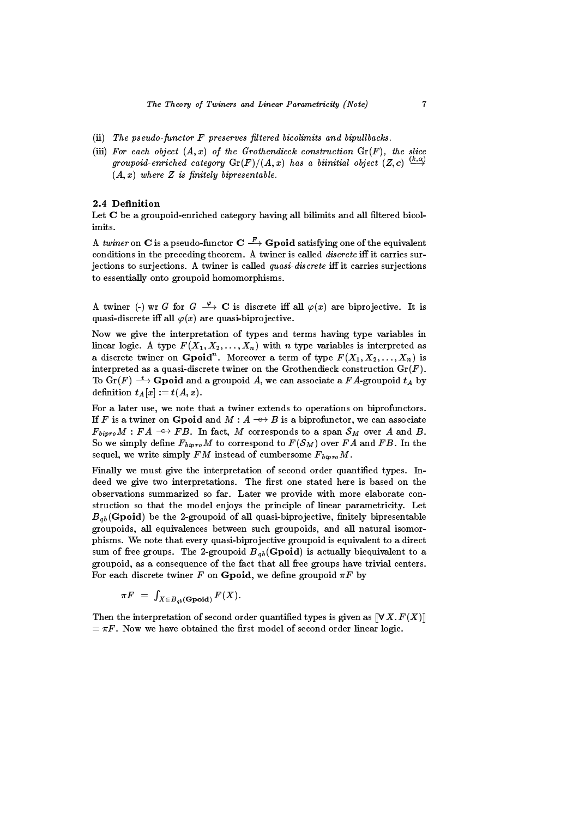- $(i)$  The pseudo-functor  $F$  preserves filtered bicolimits and bipullbacks.
- (iii) For each object  $(A, x)$  of the Grothendieck construction  $\mathrm{Gr}(F)$ , the slice groupoid-enriched category  $\mathrm{Gr}(F)/(A,x)$  has a biinitial object  $(Z, c) \longrightarrow$  $(A, x)$  where Z is finitely bipresentable.

### 2.4 Definition

Let  $C$  be a groupoid-enriched category having all bilimits and all filtered bicolimits.

A twiner on C is a pseudo-functor  $C \longrightarrow G$  boid satisfying one of the equivalent conditions in the preceding theorem. A twiner is called *discrete* iff it carries surjections to surjections. A twiner is called quasi-discrete iff it carries surjections to essentially onto groupoid homomorphisms.

A twiner (-) wr G for  $G \stackrel{\varphi}{\longrightarrow} \mathbf{C}$  is discrete iff all  $\varphi(x)$  are biprojective. It is quasi-discrete iff all  $\varphi(x)$  are quasi-biprojective.

Now we give the interpretation of types and terms having type variables in linear logic. A type  $F(X_1, X_2, \ldots, X_n)$  with  $n$  type variables is interpreted as a discrete twiner on Gpoid. Moreover a term of type  $F(\bm{X}_1,\bm{X}_2,\ldots,\bm{X}_n)$  is interpreted as a quasi-discrete twiner on the Grothendieck construction  $\mathrm{Gr}(F)$ . To  $\operatorname{Gr}(F) \stackrel{t}{\longrightarrow} \mathbf{Gpoid}$  and a groupoid A, we can associate a  $FA$ -groupoid  $t_A$  by definition  $t_A[x] := t(A,x)$ .

For a later use, we note that a twiner extends to operations on biprofunctors. If F is a twiner on Gpoid and  $M : A \longrightarrow B$  is a biprofunctor, we can associate  $F_{bipro}M : FA \rightarrow FB$ . In fact, M corresponds to a span  $S_M$  over A and B.<br>So we simply define  $F_{bipro}M$  to correspond to  $F(S_M)$  over FA and FB. In the sequel, we write simply  $FM$  instead of cumbersome  $F_{bipro}M$ .

Finally we must give the interpretation of second order quantied types. Indeed we give two interpretations. The first one stated here is based on the observations summarized so far. Later we provide with more elaborate construction so that the model enjoys the principle of linear parametricity. Let  $B_{ab}$ (Gpoid) be the 2-groupoid of all quasi-biprojective, finitely bipresentable groupoids, all equivalences between such groupoids, and all natural isomorphisms. We note that every quasi-biprojective groupoid is equivalent to a direct sum of free groups. The 2-groupoid  $B_{ab}$  (Gpoid) is actually biequivalent to a groupoid, as a consequence of the fact that all free groups have trivial centers. For each discrete twiner F on Gpoid, we define groupoid  $\pi F$  by

$$
\pi F \,\,=\,\, \textstyle\int_{X \,\in\, B_{\,qb}(\mathbf{G_{\,}\mathbf{poid})}} F(X).
$$

Then the interpretation of second order quantified types is given as  $[[\forall X. F(X)]]$  $\pi = \pi F$ . Now we have obtained the first model of second order linear logic.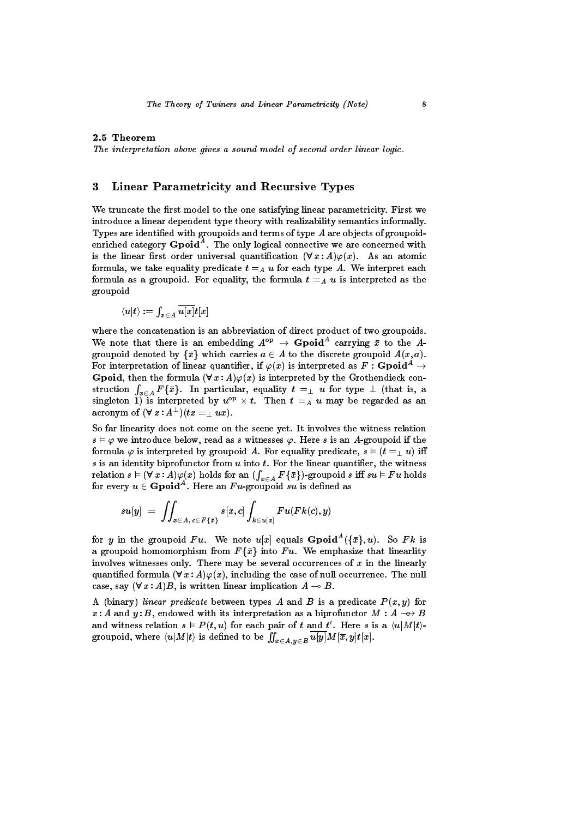The interpretation above gives a sound model of second order linear logic.

### $\bf{3}$ Linear Parametricity and Recursive Types

We truncate the first model to the one satisfying linear parametricity. First we introduce a linear dependent type theory with realizability semantics informally. Types are identified with groupoids and terms of type A are objects of groupoidenriched category Gpoid<sup>--</sup>. The only logical connective we are concerned with is the linear first order universal quantification  $(\forall x : A)\varphi(x)$ . As an atomic formula, we take equality predicate  $t =_A u$  for each type A. We interpret each formula as a groupoid. For equality, the formula  $t =_A u$  is interpreted as the groupoid

$$
\langle u|t\rangle:=\int_{x\in A}\overline{u[x]}t[x]
$$

where the concatenation is an abbreviation of direct product of two groupoids. We note that there is an embedding  $A^{\vee} \rightarrow G$  poid carrying x to the Agroupoid denoted by  $\{\bar{x}\}\$  which carries  $a \in A$  to the discrete groupoid  $A(x, a)$ . For interpretation of linear quantifier, if  $\varphi(x)$  is interpreted as  $F : G$ poid<sup>A</sup>  $\rightarrow$ **Gpoid**, then the formula  $(\forall x : A)\varphi(x)$  is interpreted by the Grothendieck construction  $\int_{x \in A} F\{\bar{x}\}$ . In particular, equality  $t =_{\perp} u$  for type  $\perp$  (that is, a singleton 1) is interpreted by  $u^{op} \times t$ . Then  $t =_A u$  may be regarded as an  $\text{acronym of } (\forall \, x : A^\perp) (tx = _\perp u x).$ 

So far linearity does not come on the scene yet. It involves the witness relation  $s \vDash \varphi$  we introduce below, read as s witnesses  $\varphi$ . Here s is an A-groupoid if the formula  $\varphi$  is interpreted by groupoid A. For equality predicate,  $s \models (t = \perp u)$  iff  $s$  is an identity biprofunctor from  $u$  into  $t$ . For the linear quantifier, the witness  ${\rm relation} \,\, s \vDash (\forall \, x\, : A)\varphi(x) \,\, {\rm holds} \,\, {\rm for} \,\, {\rm an} \,\, (\int_{x \in A} F\{\bar x\}) \textrm{-groupoid} \,\, s \,\, {\rm iff} \,\, su \vDash Fu \,\, {\rm holds}$ for every  $u \in \mathbf{Gpol}$ . Here an  $Fu\text{-group}$  and su is defined as

$$
su[y] \,\, = \,\, \iint_{x \in A, \, c \in F\{\bar x\}} s[x, c] \int_{k \in u[x]} Fu(F k(c), y)
$$

for y in the groupoid F u. We note  $u|x|$  equals G poid  $(\{x\}, u)$ . So F k is a groupoid homomorphism from  $F\{\bar{x}\}\$ into Fu. We emphasize that linearlity involves witnesses only. There may be several occurrences of  $x$  in the linearly quantified formula  $(\forall x : A)\varphi(x)$ , including the case of null occurrence. The null case, say  $(\forall x : A)B$ , is written linear implication  $A \multimap B$ .

A (binary) linear predicate between types A and B is a predicate  $P(x, y)$  for x : A and y : B, endowed with its interpretation as a biprofunctor  $M : A \longrightarrow B$ and witness relation  $s \in P(t, u)$  for each pair of t and t'. Here s is a  $\langle u | M | t \rangle$ groupoid, where  $\langle u|M|t\rangle$  is defined to be  $\iint_{x\in A, y\in B} u[y] M[\overline{x}, y] t[x].$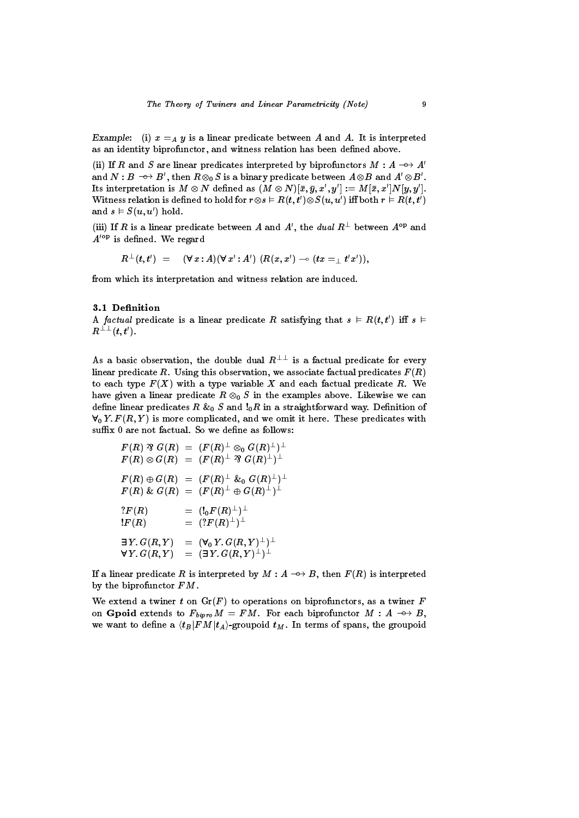Example: (i)  $x =_A y$  is a linear predicate between A and A. It is interpreted as an identity biprofunctor, and witness relation has been defined above.

(ii) If R and S are linear predicates interpreted by biprofunctors  $M : A \rightarrow A'$ and  $N: B \dashrightarrow B',$  then  $R \otimes_0 S$  is a binary predicate between  $A \otimes B$  and  $A' \otimes B'.$ Its interpretation is  $M \otimes N$  defined as  $(M \otimes N)[\bar{x}, \bar{y}, x', y'] := M[\bar{x}, x'|N[y, y']$ . Witness relation is defined to hold for  $r \otimes s \vDash R(t,t') \otimes S(u,u')$  iff both  $r \vDash R(t,t')$ and  $s \models S(u, u')$  hold.

(iii) If R is a linear predicate between A and A', the dual  $R^{\perp}$  between  $A^{\text{op}}$  and  $A^{\prime\,op}$  is defined. We regard

$$
R^\perp(t,t') \;\; = \;\; (\forall \, x:A)(\forall \, x': A') \; (R(x,x') \multimap (tx =_\perp t'x')),
$$

from which its interpretation and witness relation are induced.

### 3.1 Definition

A factual predicate is a linear predicate R satisfying that  $s \in R(t, t')$  iff  $s \in$  $R^{\perp\perp}(t, t').$ 

As a basic observation, the double dual  $R^{\perp\perp}$  is a factual predicate for every linear predicate R. Using this observation, we associate factual predicates  $F(R)$ to each type  $F(X)$  with a type variable X and each factual predicate R. We have given a linear predicate  $R \otimes_0 S$  in the examples above. Likewise we can define linear predicates  $R \& 0$  S and  $!_0R$  in a straightforward way. Definition of  $\forall_0 Y. F(R, Y)$  is more complicated, and we omit it here. These predicates with suffix 0 are not factual. So we define as follows:

$$
\begin{array}{lcl} F(R) \,\, ^{\mathcal{R}} \, G(R) & = & (F(R)^{\perp} \otimes _0 G(R)^{\perp})^{\perp} \\ F(R) \otimes G(R) & = & (F(R)^{\perp} \,\, ^{\mathcal{R}} \, G(R)^{\perp})^{\perp} \\ F(R) \oplus G(R) & = & (F(R)^{\perp} \,\, ^{\mathcal{L}} \, \alpha \, G(R)^{\perp})^{\perp} \\ F(R) \,\, & \mathcal{L} \, G(R) & = & (F(R)^{\perp} \oplus G(R)^{\perp})^{\perp} \\ ?F(R) & = & (!_{0}F(R)^{\perp})^{\perp} \\ !F(R) & = & (?F(R)^{\perp})^{\perp} \\ \exists \, Y_{\cdot} \, G(R,Y) & = & ( \exists \, Y_{\cdot} \, G(R,Y)^{\perp})^{\perp} \\ \forall \, Y_{\cdot} \, G(R,Y) & = & ( \exists \, Y_{\cdot} \, G(R,Y)^{\perp})^{\perp} \\ \end{array}
$$

If a linear predicate R is interpreted by  $M : A \longrightarrow B$ , then  $F(R)$  is interpreted by the biprofunctor FM.

We extend a twiner t on  $\mathrm{Gr}(F)$  to operations on biprofunctors, as a twiner  $F$ on Gpoid extends to  $F_{bipro}M = FM$ . For each biprofunctor  $M : A \rightarrow B$ , we want to define a  $\langle t_B|FM|t_A\rangle$ -groupoid  $t_M$ . In terms of spans, the groupoid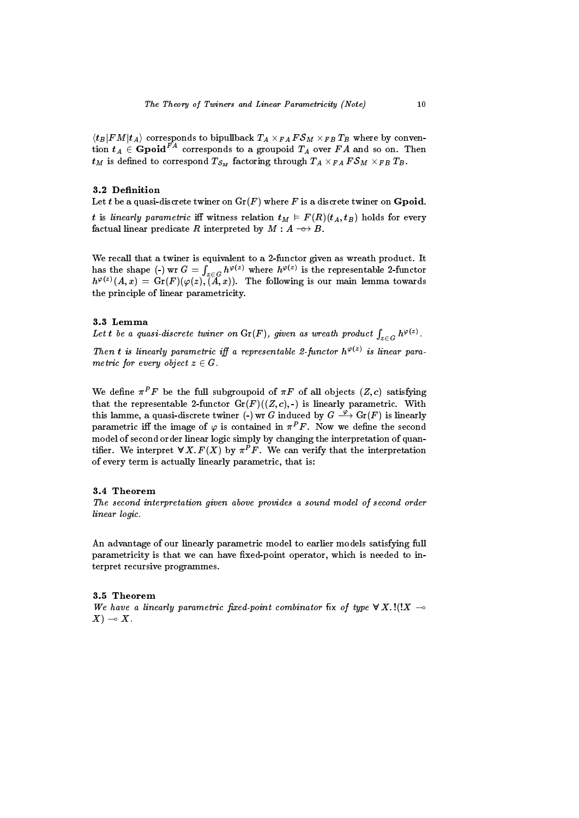$\langle B|F M|i_A\rangle$  corresponds to bipullback  $TA\times_{FA}F$  of  $M\times_{FB}TB$  where by convention  $t_A \in \mathbf{Gpol}^{FA}$  corresponds to a groupoid  $T_A$  over  $FA$  and so on. Then  $\iota_M$  is defined to correspond  $\iota_{S_M}$  factoring through  $\iota_A \times_{FA} \iota_{\mathcal{O}_M} \times_{FB} \iota_B$ .

### 3.2 Definition

Let t be a quasi-discrete twiner on  $\mathrm{Gr}(F)$  where F is a discrete twiner on **Gpoid**.

t is linearly parametric iff witness relation  $t_M \text{ }\vDash F(R)(t_A, t_B)$  holds for every factual linear predicate R interpreted by  $M : A \longrightarrow B$ .

We recall that a twiner is equivalent to a 2-functor given as wreath product. It has the shape (-) wr G =  $\int_{z\in G} h^{\varphi(z)}$  where  $h^{\varphi(z)}$  is the representable 2-functor  $h^{\varphi(z)}(A,x) = \text{Gr}(F)(\varphi(z), \tilde{A}, x)$ . The following is our main lemma towards the principle of linear parametricity.

### 3.3 Lemma

Let t be a quasi-discrete twiner on  $\mathrm{Gr}(F),$  given as wreath product  $\int_{z\in G} h^{\varphi(z)}.$ 

Then t is linearly parametric iff a representable 2-functor  $h^{\varphi(z)}$  is linear parametric for every object  $z \in G$ .

We define  $\pi^P F$  be the full subgroupoid of  $\pi F$  of all objects  $(Z, c)$  satisfying that the representable 2-functor  $Gr(F)((Z, c), \cdot)$  is linearly parametric. With this lamme, a quasi-discrete twiner (-) wr G induced by  $G \stackrel{\varphi}{\longrightarrow} \mathrm{Gr}(F)$  is linearly parametric iff the image of  $\varphi$  is contained in  $\pi^P F$ . Now we define the second model of second order linear logic simply by changing the interpretation of quantifier. We interpret  $\forall X. F(X)$  by  $\pi^P F$ . We can verify that the interpretation of every term is actually linearly parametric, that is:

### 3.4 Theorem

The second interpretation given above provides <sup>a</sup> sound model of second order linear logic.

An advantage of our linearly parametric model to earlier models satisfying full parametricity is that we can have fixed-point operator, which is needed to interpret recursive programmes.

### 3.5 Theorem

we have a linearly parametric important completions and the signal completion of the completion of the second completion of the second completion of the second completion of the second completion of the second completion o  $X) \multimap X.$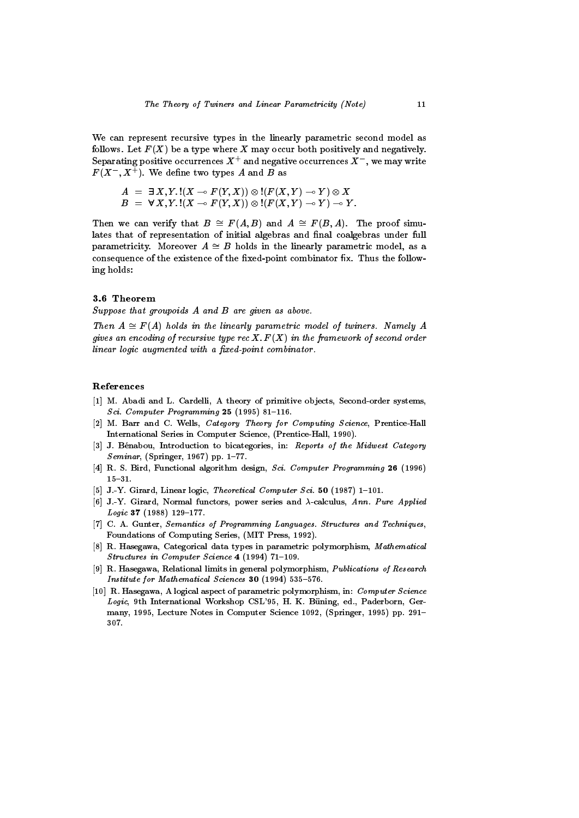We can represent recursive types in the linearly parametric second model as follows. Let  $F(X)$  be a type where X may occur both positively and negatively. Separating positive occurrences  $X^+$  and negative occurrences  $X^-$  , we may write  $F(X^-, X^+)$ . We define two types A and B as

$$
\begin{array}{l}A \ = \ \exists \, X, Y. \, !(X \multimap F(Y, X)) \otimes !(F(X, Y) \multimap Y) \otimes X \\B \ = \ \forall \, X, Y. \, !(X \multimap F(Y, X)) \otimes !(F(X, Y) \multimap Y) \multimap Y. \end{array}
$$

Then we can verify that  $B \cong F(A, B)$  and  $A \cong F(B, A)$ . The proof simulates that of representation of initial algebras and final coalgebras under full parametricity. Moreover  $A \cong B$  holds in the linearly parametric model, as a consequence of the existence of the fixed-point combinator fix. Thus the following holds:

### 3.6 Theorem

Suppose that groupoids A and B are given as above.

Then  $A \cong F(A)$  holds in the linearly parametric model of twiners. Namely A gives an encounty of recursive type rec  $\mathbf{A}$ .  $\mathbf{F}(\mathbf{A})$  in the framework of second order linear logic augmented with a fixed-point combinator.

### References

- [1] M. Abadi and L. Cardelli, A theory of primitive objects, Second-order systems, Sci. Computer Programming  $25$  (1995) 81-116.
- [2] M. Barr and C. Wells, Category Theory for Computing Science, Prentice-Hall International Series in Computer Science, (Prentice-Hall, 1990).
- [3] J. Bénabou, Introduction to bicategories, in: Reports of the Midwest Category Seminar, (Springer, 1967) pp.  $1-77$ .
- [4] R. S. Bird, Functional algorithm design, Sci. Computer Programming <sup>26</sup> (1996)  $15{-}31.$
- [5] J.-Y. Girard, Linear logic, Theoretical Computer Sci. 50 (1987) 1-101.
- [6] J.-Y. Girard, Normal functors, power series and  $\lambda$ -calculus, Ann. Pure Applied Logic 37 (1988) 129-177.
- [7] C. A. Gunter, Semantics of Programming Languages. Structures and Techniques, Foundations of Computing Series, (MIT Press, 1992).
- [8] R. Hasegawa, Categorical data types in parametric polymorphism, Mathematical Structures in Computer Science 4 (1994) 71-109.
- [9] R. Hasegawa, Relational limits in general polymorphism, Publications of Research Institute for Mathematical Sciences 30  $(1994)$  535-576.
- [10] R. Hasegawa, A logical aspect of parametric polymorphism, in: Computer Science Logic, 9th International Workshop CSL'95, H. K. Büning, ed., Paderborn, Germany, 1995, Lecture Notes in Computer Science 1092, (Springer, 1995) pp. 291-307.